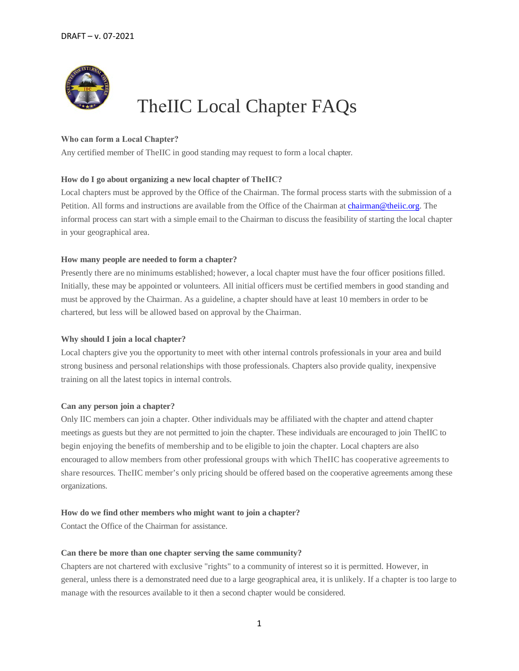

# TheIIC Local Chapter FAQs

# **Who can form a Local Chapter?**

Any certified member of TheIIC in good standing may request to form a local chapter.

## **How do I go about organizing a new local chapter of TheIIC?**

Local chapters must be approved by the Office of the Chairman. The formal process starts with the submission of a Petition. All forms and instructions are available from the Office of the Chairman at [chairman@theiic.org.](mailto:chairman@theiic.org) The informal process can start with a simple email to the Chairman to discuss the feasibility of starting the local chapter in your geographical area.

## **How many people are needed to form a chapter?**

Presently there are no minimums established; however, a local chapter must have the four officer positions filled. Initially, these may be appointed or volunteers. All initial officers must be certified members in good standing and must be approved by the Chairman. As a guideline, a chapter should have at least 10 members in order to be chartered, but less will be allowed based on approval by the Chairman.

## **Why should I join a local chapter?**

Local chapters give you the opportunity to meet with other internal controls professionals in your area and build strong business and personal relationships with those professionals. Chapters also provide quality, inexpensive training on all the latest topics in internal controls.

## **Can any person join a chapter?**

Only IIC members can join a chapter. Other individuals may be affiliated with the chapter and attend chapter meetings as guests but they are not permitted to join the chapter. These individuals are encouraged to join TheIIC to begin enjoying the benefits of membership and to be eligible to join the chapter. Local chapters are also encouraged to allow members from other professional groups with which TheIIC has cooperative agreements to share resources. TheIIC member's only pricing should be offered based on the cooperative agreements among these organizations.

## **How do we find other members who might want to join a chapter?**

Contact the Office of the Chairman for assistance.

## **Can there be more than one chapter serving the same community?**

Chapters are not chartered with exclusive "rights" to a community of interest so it is permitted. However, in general, unless there is a demonstrated need due to a large geographical area, it is unlikely. If a chapter is too large to manage with the resources available to it then a second chapter would be considered.